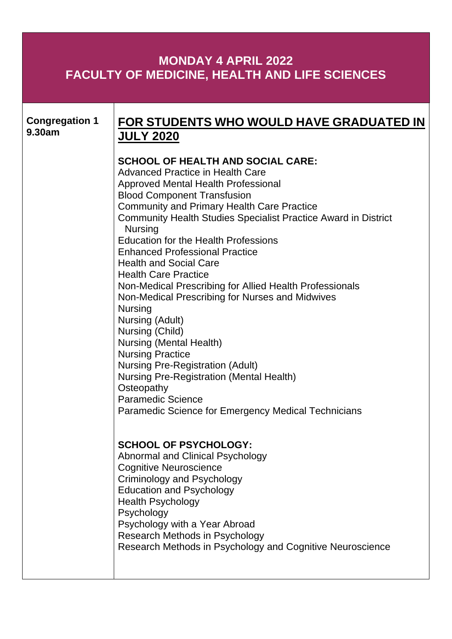## **MONDAY 4 APRIL 2022 FACULTY OF MEDICINE, HEALTH AND LIFE SCIENCES**

| <b>Congregation 1</b><br>9.30am | FOR STUDENTS WHO WOULD HAVE GRADUATED IN<br><b>JULY 2020</b>                                                                                                                                                                                                                                                                                                                                                                                                                                                                                                                                                                                                                                                                                                                                                                                                                                        |
|---------------------------------|-----------------------------------------------------------------------------------------------------------------------------------------------------------------------------------------------------------------------------------------------------------------------------------------------------------------------------------------------------------------------------------------------------------------------------------------------------------------------------------------------------------------------------------------------------------------------------------------------------------------------------------------------------------------------------------------------------------------------------------------------------------------------------------------------------------------------------------------------------------------------------------------------------|
|                                 | <b>SCHOOL OF HEALTH AND SOCIAL CARE:</b><br>Advanced Practice in Health Care<br>Approved Mental Health Professional<br><b>Blood Component Transfusion</b><br><b>Community and Primary Health Care Practice</b><br><b>Community Health Studies Specialist Practice Award in District</b><br><b>Nursing</b><br><b>Education for the Health Professions</b><br><b>Enhanced Professional Practice</b><br><b>Health and Social Care</b><br><b>Health Care Practice</b><br>Non-Medical Prescribing for Allied Health Professionals<br>Non-Medical Prescribing for Nurses and Midwives<br><b>Nursing</b><br>Nursing (Adult)<br>Nursing (Child)<br><b>Nursing (Mental Health)</b><br><b>Nursing Practice</b><br><b>Nursing Pre-Registration (Adult)</b><br><b>Nursing Pre-Registration (Mental Health)</b><br>Osteopathy<br><b>Paramedic Science</b><br>Paramedic Science for Emergency Medical Technicians |
|                                 | <b>SCHOOL OF PSYCHOLOGY:</b><br>Abnormal and Clinical Psychology<br><b>Cognitive Neuroscience</b><br>Criminology and Psychology<br><b>Education and Psychology</b><br><b>Health Psychology</b><br>Psychology<br>Psychology with a Year Abroad<br>Research Methods in Psychology<br>Research Methods in Psychology and Cognitive Neuroscience                                                                                                                                                                                                                                                                                                                                                                                                                                                                                                                                                        |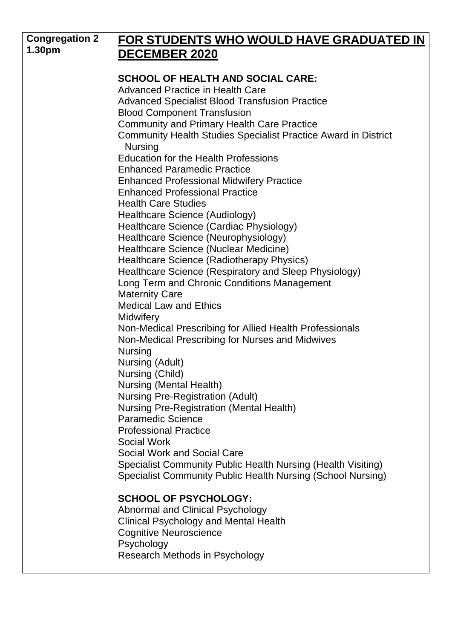| <b>Congregation 2</b> | FOR STUDENTS WHO WOULD HAVE GRADUATED IN                                                             |
|-----------------------|------------------------------------------------------------------------------------------------------|
| 1.30pm                | <b>DECEMBER 2020</b>                                                                                 |
|                       |                                                                                                      |
|                       | <b>SCHOOL OF HEALTH AND SOCIAL CARE:</b>                                                             |
|                       | <b>Advanced Practice in Health Care</b>                                                              |
|                       | <b>Advanced Specialist Blood Transfusion Practice</b>                                                |
|                       | <b>Blood Component Transfusion</b>                                                                   |
|                       | <b>Community and Primary Health Care Practice</b>                                                    |
|                       | <b>Community Health Studies Specialist Practice Award in District</b>                                |
|                       | <b>Nursing</b><br><b>Education for the Health Professions</b>                                        |
|                       | <b>Enhanced Paramedic Practice</b>                                                                   |
|                       | <b>Enhanced Professional Midwifery Practice</b>                                                      |
|                       | <b>Enhanced Professional Practice</b>                                                                |
|                       | <b>Health Care Studies</b>                                                                           |
|                       | Healthcare Science (Audiology)                                                                       |
|                       | Healthcare Science (Cardiac Physiology)                                                              |
|                       | Healthcare Science (Neurophysiology)                                                                 |
|                       | Healthcare Science (Nuclear Medicine)                                                                |
|                       | Healthcare Science (Radiotherapy Physics)                                                            |
|                       | Healthcare Science (Respiratory and Sleep Physiology)<br>Long Term and Chronic Conditions Management |
|                       | <b>Maternity Care</b>                                                                                |
|                       | <b>Medical Law and Ethics</b>                                                                        |
|                       | <b>Midwifery</b>                                                                                     |
|                       | Non-Medical Prescribing for Allied Health Professionals                                              |
|                       | Non-Medical Prescribing for Nurses and Midwives                                                      |
|                       | <b>Nursing</b>                                                                                       |
|                       | Nursing (Adult)                                                                                      |
|                       | Nursing (Child)                                                                                      |
|                       | <b>Nursing (Mental Health)</b>                                                                       |
|                       | <b>Nursing Pre-Registration (Adult)</b>                                                              |
|                       | <b>Nursing Pre-Registration (Mental Health)</b><br><b>Paramedic Science</b>                          |
|                       | <b>Professional Practice</b>                                                                         |
|                       | <b>Social Work</b>                                                                                   |
|                       | Social Work and Social Care                                                                          |
|                       | Specialist Community Public Health Nursing (Health Visiting)                                         |
|                       | Specialist Community Public Health Nursing (School Nursing)                                          |
|                       | <b>SCHOOL OF PSYCHOLOGY:</b>                                                                         |
|                       | <b>Abnormal and Clinical Psychology</b>                                                              |
|                       | <b>Clinical Psychology and Mental Health</b>                                                         |
|                       | <b>Cognitive Neuroscience</b>                                                                        |
|                       | Psychology                                                                                           |
|                       | Research Methods in Psychology                                                                       |
|                       |                                                                                                      |